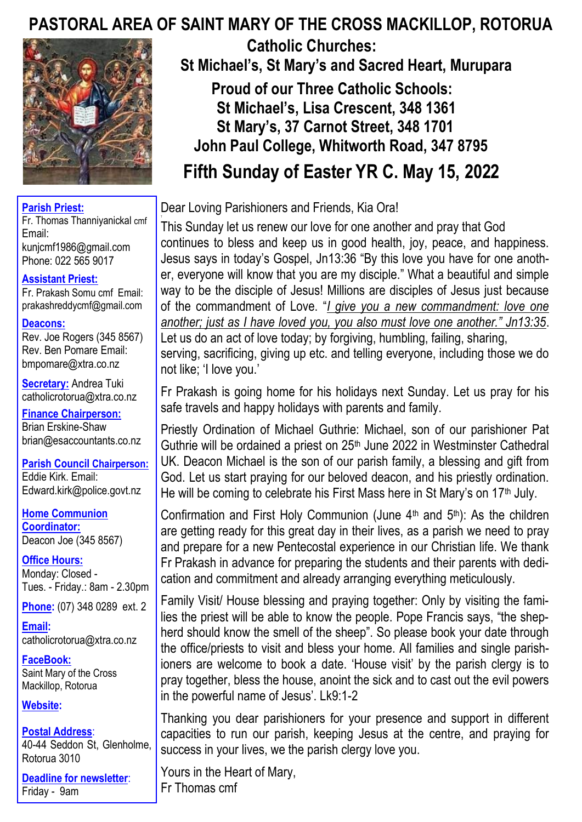# **PASTORAL AREA OF SAINT MARY OF THE CROSS MACKILLOP, ROTORUA**



#### **Parish Priest:**

Fr. Thomas Thanniyanickal cmf Email: kunjcmf1986@gmail.com Phone: 022 565 9017

#### **Assistant Priest:**

Fr. Prakash Somu cmf Email: prakashreddycmf@gmail.com

#### **Deacons:**

Rev. Joe Rogers (345 8567) Rev. Ben Pomare Email: bmpomare@xtra.co.nz

**Secretary:** Andrea Tuki catholicrotorua@xtra.co.nz

**Finance Chairperson:** Brian Erskine-Shaw brian@esaccountants.co.nz

**Parish Council Chairperson:** Eddie Kirk. Email: Edward.kirk@police.govt.nz

**Home Communion Coordinator:** Deacon Joe (345 8567)

**Office Hours:**  Monday: Closed - Tues. - Friday.: 8am - 2.30pm

**Phone:** (07) 348 0289 ext. 2

**Email:**  catholicrotorua@xtra.co.nz

**FaceBook:** Saint Mary of the Cross Mackillop, Rotorua

**Website:** 

**Postal Address**: 40-44 Seddon St, Glenholme, Rotorua 3010

**Deadline for newsletter**: Friday - 9am

 **Catholic Churches: St Michael's, St Mary's and Sacred Heart, Murupara Proud of our Three Catholic Schools: St Michael's, Lisa Crescent, 348 1361 St Mary's, 37 Carnot Street, 348 1701 John Paul College, Whitworth Road, 347 8795 Fifth Sunday of Easter YR C. May 15, 2022**

Dear Loving Parishioners and Friends, Kia Ora!

This Sunday let us renew our love for one another and pray that God continues to bless and keep us in good health, joy, peace, and happiness. Jesus says in today's Gospel, Jn13:36 "By this love you have for one another, everyone will know that you are my disciple." What a beautiful and simple way to be the disciple of Jesus! Millions are disciples of Jesus just because of the commandment of Love. "*I give you a new commandment: love one another; just as I have loved you, you also must love one another." Jn13:35*. Let us do an act of love today; by forgiving, humbling, failing, sharing,

serving, sacrificing, giving up etc. and telling everyone, including those we do not like; 'I love you.'

Fr Prakash is going home for his holidays next Sunday. Let us pray for his safe travels and happy holidays with parents and family.

Priestly Ordination of Michael Guthrie: Michael, son of our parishioner Pat Guthrie will be ordained a priest on 25<sup>th</sup> June 2022 in Westminster Cathedral UK. Deacon Michael is the son of our parish family, a blessing and gift from God. Let us start praying for our beloved deacon, and his priestly ordination. He will be coming to celebrate his First Mass here in St Mary's on 17<sup>th</sup> July.

Confirmation and First Holy Communion (June  $4<sup>th</sup>$  and  $5<sup>th</sup>$ ): As the children are getting ready for this great day in their lives, as a parish we need to pray and prepare for a new Pentecostal experience in our Christian life. We thank Fr Prakash in advance for preparing the students and their parents with dedication and commitment and already arranging everything meticulously.

Family Visit/ House blessing and praying together: Only by visiting the families the priest will be able to know the people. Pope Francis says, "the shepherd should know the smell of the sheep". So please book your date through the office/priests to visit and bless your home. All families and single parishioners are welcome to book a date. 'House visit' by the parish clergy is to pray together, bless the house, anoint the sick and to cast out the evil powers in the powerful name of Jesus'. Lk9:1-2

Thanking you dear parishioners for your presence and support in different capacities to run our parish, keeping Jesus at the centre, and praying for success in your lives, we the parish clergy love you.

Yours in the Heart of Mary, Fr Thomas cmf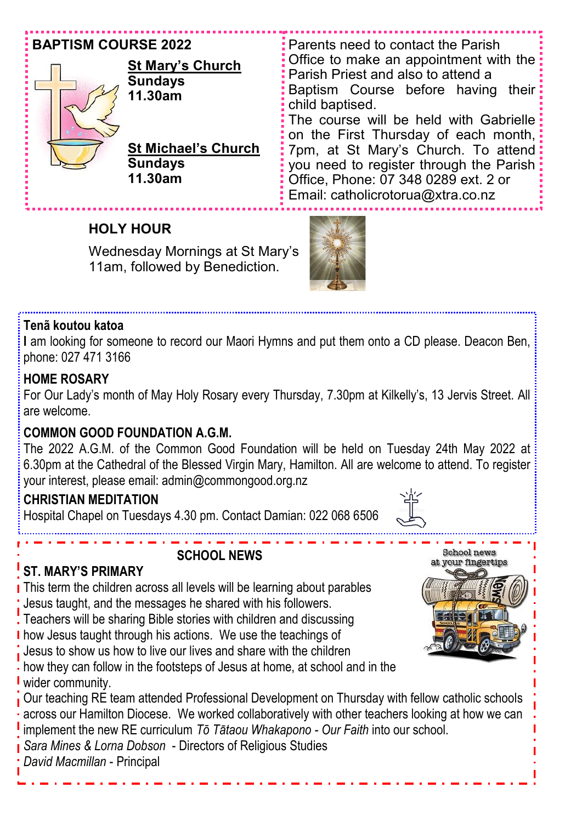| <b>BAPTISM COURSE 2022</b><br><b>St Mary's Church</b><br><b>Sundays</b><br>11.30am | <b>Parents need to contact the Parish</b><br>Office to make an appointment with the $\frac{1}{2}$<br><b>:</b> Parish Priest and also to attend a<br><b>:</b> Baptism Course before having their:<br>$\frac{1}{2}$ child baptised.<br>: The course will be held with Gabrielle :<br>: on the First Thursday of each month, |
|------------------------------------------------------------------------------------|---------------------------------------------------------------------------------------------------------------------------------------------------------------------------------------------------------------------------------------------------------------------------------------------------------------------------|
| <b>St Michael's Church</b><br><b>Sundays</b><br>11.30am                            | 7pm, at St Mary's Church. To attend:<br>you need to register through the Parish:<br>Office, Phone: 07 348 0289 ext. 2 or<br>: Email: catholicrotorua@xtra.co.nz                                                                                                                                                           |

## **HOLY HOUR**

Wednesday Mornings at St Mary's 11am, followed by Benediction.



#### **Tenã koutou katoa**

**I** am looking for someone to record our Maori Hymns and put them onto a CD please. Deacon Ben, phone: 027 471 3166

#### **HOME ROSARY**

For Our Lady's month of May Holy Rosary every Thursday, 7.30pm at Kilkelly's, 13 Jervis Street. All are welcome.

#### **COMMON GOOD FOUNDATION A.G.M.**

The 2022 A.G.M. of the Common Good Foundation will be held on Tuesday 24th May 2022 at 6.30pm at the Cathedral of the Blessed Virgin Mary, Hamilton. All are welcome to attend. To register your interest, please email: admin@commongood.org.nz

#### **CHRISTIAN MEDITATION**

Hospital Chapel on Tuesdays 4.30 pm. Contact Damian: 022 068 6506



## **SCHOOL NEWS**

### **ST. MARY'S PRIMARY**

This term the children across all levels will be learning about parables Jesus taught, and the messages he shared with his followers.

Teachers will be sharing Bible stories with children and discussing

**I** how Jesus taught through his actions. We use the teachings of

Jesus to show us how to live our lives and share with the children

**h** how they can follow in the footsteps of Jesus at home, at school and in the **V** wider community.

Our teaching RE team attended Professional Development on Thursday with fellow catholic schools across our Hamilton Diocese. We worked collaboratively with other teachers looking at how we can implement the new RE curriculum *Tō Tātaou Whakapono - Our Faith* into our school.

*Sara Mines & Lorna Dobson* - Directors of Religious Studies

*David Macmillan* - Principal

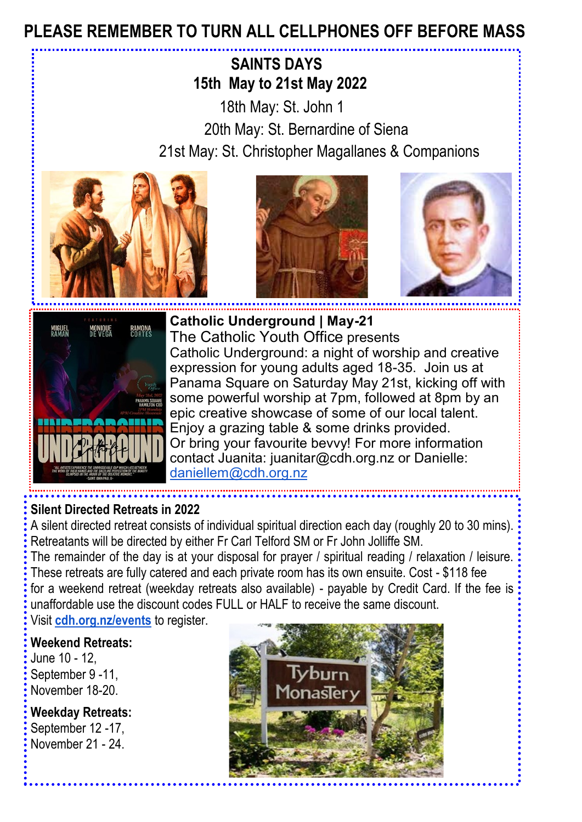# **PLEASE REMEMBER TO TURN ALL CELLPHONES OFF BEFORE MASS**

# **SAINTS DAYS 15th May to 21st May 2022**

 18th May: St. John 1 20th May: St. Bernardine of Siena 21st May: St. Christopher Magallanes & Companions









**Catholic Underground | May-21** The Catholic Youth Office presents Catholic Underground: a night of worship and creative expression for young adults aged 18-35. Join us at Panama Square on Saturday May 21st, kicking off with some powerful worship at 7pm, followed at 8pm by an epic creative showcase of some of our local talent. Enjoy a grazing table & some drinks provided. Or bring your favourite bevvy! For more information contact Juanita: juanitar@cdh.org.nz or Danielle: [daniellem@cdh.org.nz](mailto:daniellem@cdh.org.nz)

### **Silent Directed Retreats in 2022**

A silent directed retreat consists of individual spiritual direction each day (roughly 20 to 30 mins). Retreatants will be directed by either Fr Carl Telford SM or Fr John Jolliffe SM.

The remainder of the day is at your disposal for prayer / spiritual reading / relaxation / leisure. These retreats are fully catered and each private room has its own ensuite. Cost - \$118 fee for a weekend retreat (weekday retreats also available) - payable by Credit Card. If the fee is unaffordable use the discount codes FULL or HALF to receive the same discount.

Visit **[cdh.org.nz/events](http://cdh.org.nz/events)** to register.

### **Weekend Retreats:**

June 10 - 12, September 9 -11, November 18-20.

**Weekday Retreats:**  September [12 -1](http://events.constantcontact.com/register/event?llr=o7lldb6ab&oeidk=a07ej1ytwj117afae5a)7. November 21 - 24.